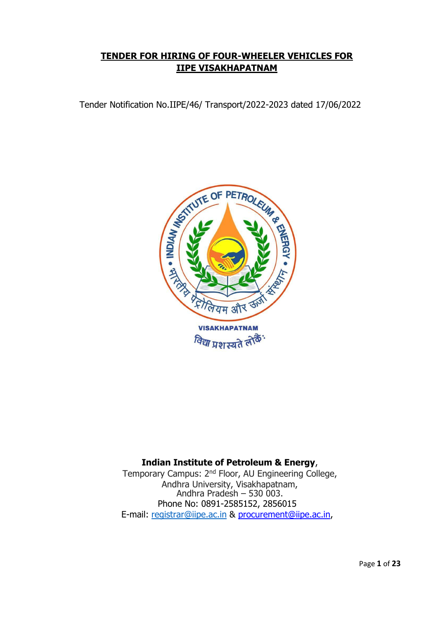## **TENDER FOR HIRING OF FOUR-WHEELER VEHICLES FOR IIPE VISAKHAPATNAM**

Tender Notification No.IIPE/46/ Transport/2022-2023 dated 17/06/2022



#### **Indian Institute of Petroleum & Energy**,

Temporary Campus: 2<sup>nd</sup> Floor, AU Engineering College, Andhra University, Visakhapatnam, Andhra Pradesh – 530 003. Phone No: 0891-2585152, 2856015 E-mail: [registrar@iipe.ac.in](mailto:registrar@iipe.ac.in) & procurement@iipe.ac.in,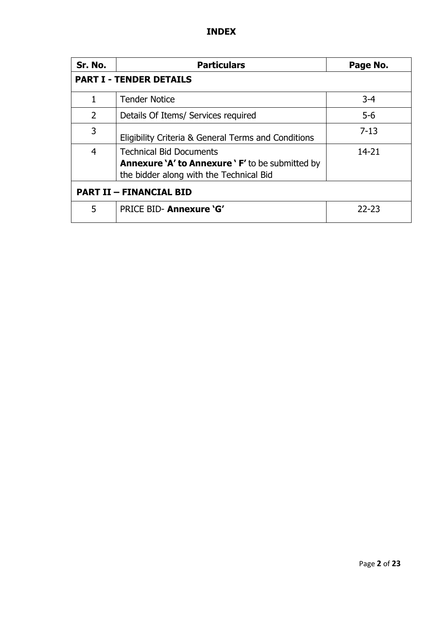| Sr. No. | <b>Particulars</b>                                                                                                           | Page No.  |  |  |  |
|---------|------------------------------------------------------------------------------------------------------------------------------|-----------|--|--|--|
|         | <b>PART I - TENDER DETAILS</b>                                                                                               |           |  |  |  |
|         | <b>Tender Notice</b>                                                                                                         | $3 - 4$   |  |  |  |
| 2       | Details Of Items/ Services required                                                                                          | $5-6$     |  |  |  |
| 3       | Eligibility Criteria & General Terms and Conditions                                                                          | $7 - 13$  |  |  |  |
| 4       | <b>Technical Bid Documents</b><br>Annexure 'A' to Annexure 'F' to be submitted by<br>the bidder along with the Technical Bid | 14-21     |  |  |  |
|         | <b>PART II - FINANCIAL BID</b>                                                                                               |           |  |  |  |
| 5       | PRICE BID- Annexure 'G'                                                                                                      | $22 - 23$ |  |  |  |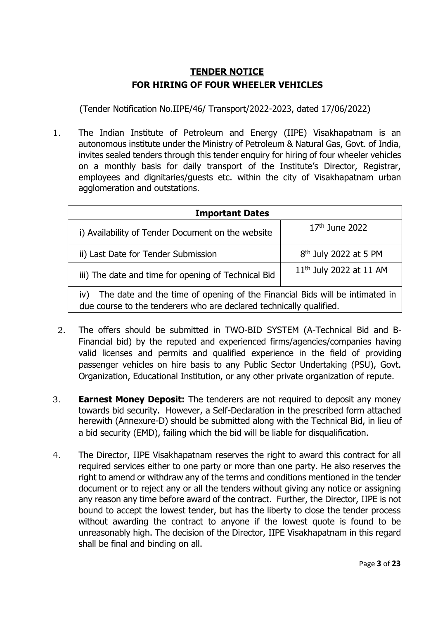## **TENDER NOTICE FOR HIRING OF FOUR WHEELER VEHICLES**

(Tender Notification No.IIPE/46/ Transport/2022-2023, dated 17/06/2022)

1. The Indian Institute of Petroleum and Energy (IIPE) Visakhapatnam is an autonomous institute under the Ministry of Petroleum & Natural Gas, Govt. of India, invites sealed tenders through this tender enquiry for hiring of four wheeler vehicles on a monthly basis for daily transport of the Institute's Director, Registrar, employees and dignitaries/guests etc. within the city of Visakhapatnam urban agglomeration and outstations.

| <b>Important Dates</b>                                                                                                                                 |                                   |  |  |  |
|--------------------------------------------------------------------------------------------------------------------------------------------------------|-----------------------------------|--|--|--|
| i) Availability of Tender Document on the website                                                                                                      | $17th$ June 2022                  |  |  |  |
| ii) Last Date for Tender Submission                                                                                                                    | 8 <sup>th</sup> July 2022 at 5 PM |  |  |  |
| 11 <sup>th</sup> July 2022 at 11 AM<br>iii) The date and time for opening of Technical Bid                                                             |                                   |  |  |  |
| iv) The date and the time of opening of the Financial Bids will be intimated in<br>due course to the tenderers who are declared technically qualified. |                                   |  |  |  |

- 2. The offers should be submitted in TWO-BID SYSTEM (A-Technical Bid and B-Financial bid) by the reputed and experienced firms/agencies/companies having valid licenses and permits and qualified experience in the field of providing passenger vehicles on hire basis to any Public Sector Undertaking (PSU), Govt. Organization, Educational Institution, or any other private organization of repute.
- 3. **Earnest Money Deposit:** The tenderers are not required to deposit any money towards bid security. However, a Self-Declaration in the prescribed form attached a bid security (EMD), failing which the bid will be liable for disqualification. herewith (Annexure-D) should be submitted along with the Technical Bid, in lieu of
- 4. The Director, IIPE Visakhapatnam reserves the right to award this contract for all required services either to one party or more than one party. He also reserves the right to amend or withdraw any of the terms and conditions mentioned in the tender document or to reject any or all the tenders without giving any notice or assigning any reason any time before award of the contract. Further, the Director, IIPE is not bound to accept the lowest tender, but has the liberty to close the tender process without awarding the contract to anyone if the lowest quote is found to be unreasonably high. The decision of the Director, IIPE Visakhapatnam in this regard shall be final and binding on all.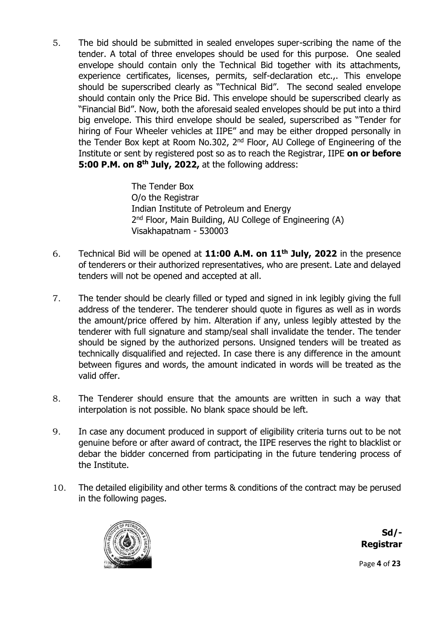5. The bid should be submitted in sealed envelopes super-scribing the name of the tender. A total of three envelopes should be used for this purpose. One sealed envelope should contain only the Technical Bid together with its attachments, experience certificates, licenses, permits, self-declaration etc.,. This envelope should be superscribed clearly as "Technical Bid". The second sealed envelope should contain only the Price Bid. This envelope should be superscribed clearly as "Financial Bid". Now, both the aforesaid sealed envelopes should be put into a third big envelope. This third envelope should be sealed, superscribed as "Tender for hiring of Four Wheeler vehicles at IIPE" and may be either dropped personally in the Tender Box kept at Room No.302, 2<sup>nd</sup> Floor, AU College of Engineering of the Institute or sent by registered post so as to reach the Registrar, IIPE **on or before 5:00 P.M. on 8 th July, 2022,** at the following address:

> The Tender Box O/o the Registrar Indian Institute of Petroleum and Energy 2<sup>nd</sup> Floor, Main Building, AU College of Engineering (A) Visakhapatnam - 530003

- 6. Technical Bid will be opened at **11:00 A.M. on 11th July, 2022** in the presence of tenderers or their authorized representatives, who are present. Late and delayed tenders will not be opened and accepted at all.
- 7. The tender should be clearly filled or typed and signed in ink legibly giving the full address of the tenderer. The tenderer should quote in figures as well as in words the amount/price offered by him. Alteration if any, unless legibly attested by the tenderer with full signature and stamp/seal shall invalidate the tender. The tender should be signed by the authorized persons. Unsigned tenders will be treated as technically disqualified and rejected. In case there is any difference in the amount between figures and words, the amount indicated in words will be treated as the valid offer.
- 8. The Tenderer should ensure that the amounts are written in such a way that interpolation is not possible. No blank space should be left.
- 9. In case any document produced in support of eligibility criteria turns out to be not genuine before or after award of contract, the IIPE reserves the right to blacklist or debar the bidder concerned from participating in the future tendering process of the Institute.
- 10. The detailed eligibility and other terms & conditions of the contract may be perused in the following pages.



**Sd/- Registrar** 

Page **4** of **23**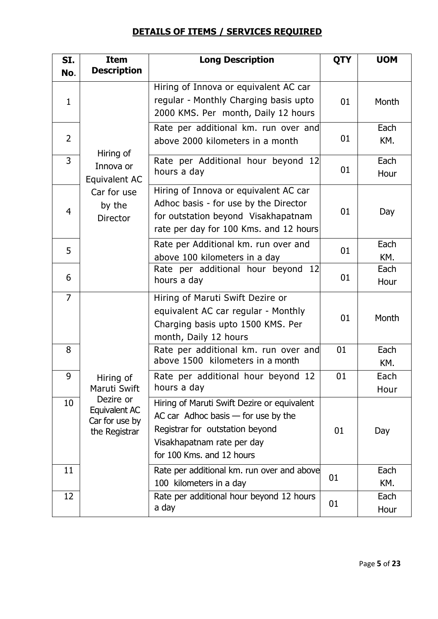## **DETAILS OF ITEMS / SERVICES REQUIRED**

| SI.            | <b>Item</b>                                                   | <b>Long Description</b>                                                                                                                                                            | <b>QTY</b> | <b>UOM</b>   |
|----------------|---------------------------------------------------------------|------------------------------------------------------------------------------------------------------------------------------------------------------------------------------------|------------|--------------|
| No.            | <b>Description</b>                                            |                                                                                                                                                                                    |            |              |
| $\mathbf{1}$   |                                                               | Hiring of Innova or equivalent AC car<br>regular - Monthly Charging basis upto<br>2000 KMS. Per month, Daily 12 hours                                                              | 01         | Month        |
| $2^{\circ}$    |                                                               | Rate per additional km. run over and<br>above 2000 kilometers in a month                                                                                                           | 01         | Each<br>KM.  |
| 3              | Hiring of<br>Innova or<br>Equivalent AC                       | Rate per Additional hour beyond 12<br>hours a day                                                                                                                                  | 01         | Each<br>Hour |
| 4              | Car for use<br>by the<br><b>Director</b>                      | Hiring of Innova or equivalent AC car<br>Adhoc basis - for use by the Director<br>for outstation beyond Visakhapatnam<br>rate per day for 100 Kms. and 12 hours                    | 01         | Day          |
| 5              |                                                               | Rate per Additional km. run over and<br>above 100 kilometers in a day                                                                                                              | 01         | Each<br>KM.  |
| 6              |                                                               | Rate per additional hour beyond 12<br>hours a day                                                                                                                                  | 01         | Each<br>Hour |
| $\overline{7}$ |                                                               | Hiring of Maruti Swift Dezire or<br>equivalent AC car regular - Monthly<br>Charging basis upto 1500 KMS. Per<br>month, Daily 12 hours                                              | 01         | Month        |
| 8              |                                                               | Rate per additional km. run over and<br>above 1500 kilometers in a month                                                                                                           | 01         | Each<br>KM.  |
| 9              | Hiring of<br>Maruti Swift                                     | Rate per additional hour beyond 12<br>hours a day                                                                                                                                  | 01         | Each<br>Hour |
| 10             | Dezire or<br>Equivalent AC<br>Car for use by<br>the Registrar | Hiring of Maruti Swift Dezire or equivalent<br>AC car Adhoc basis $-$ for use by the<br>Registrar for outstation beyond<br>Visakhapatnam rate per day<br>for 100 Kms. and 12 hours | 01         | Day          |
| 11             |                                                               | Rate per additional km. run over and above<br>100 kilometers in a day                                                                                                              | 01         | Each<br>KM.  |
| 12             |                                                               | Rate per additional hour beyond 12 hours<br>a day                                                                                                                                  | 01         | Each<br>Hour |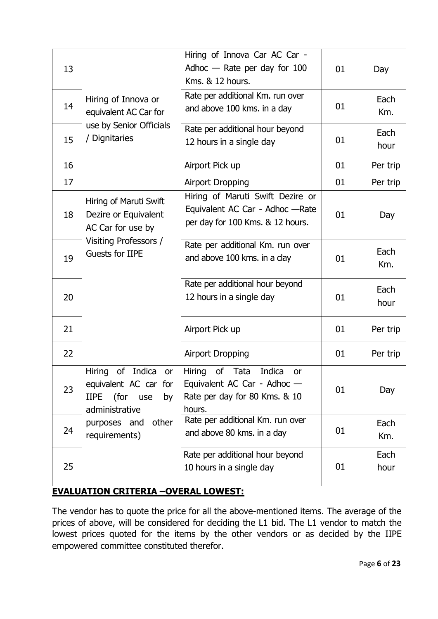| 13 |                                                                                                          | Hiring of Innova Car AC Car -<br>Adhoc $-$ Rate per day for 100<br>Kms. & 12 hours.                         | 01 | Day          |
|----|----------------------------------------------------------------------------------------------------------|-------------------------------------------------------------------------------------------------------------|----|--------------|
| 14 | Hiring of Innova or<br>equivalent AC Car for                                                             | Rate per additional Km. run over<br>and above 100 kms. in a day                                             | 01 | Each<br>Km.  |
| 15 | use by Senior Officials<br>/ Dignitaries                                                                 | Rate per additional hour beyond<br>12 hours in a single day                                                 | 01 | Each<br>hour |
| 16 |                                                                                                          | Airport Pick up                                                                                             | 01 | Per trip     |
| 17 |                                                                                                          | Airport Dropping                                                                                            | 01 | Per trip     |
| 18 | Hiring of Maruti Swift<br>Dezire or Equivalent<br>AC Car for use by                                      | Hiring of Maruti Swift Dezire or<br>Equivalent AC Car - Adhoc - Rate<br>per day for 100 Kms. & 12 hours.    | 01 | Day          |
| 19 | Visiting Professors /<br><b>Guests for IIPE</b>                                                          | Rate per additional Km. run over<br>and above 100 kms. in a clay                                            | 01 | Each<br>Km.  |
| 20 |                                                                                                          | Rate per additional hour beyond<br>12 hours in a single day                                                 | 01 | Each<br>hour |
| 21 |                                                                                                          | Airport Pick up                                                                                             | 01 | Per trip     |
| 22 |                                                                                                          | <b>Airport Dropping</b>                                                                                     | 01 | Per trip     |
| 23 | Hiring<br>of Indica<br>or<br>equivalent AC car for<br>(for<br><b>IIPE</b><br>use<br>by<br>administrative | Hiring<br>of Tata<br>Indica<br>or<br>Equivalent AC Car - Adhoc -<br>Rate per day for 80 Kms. & 10<br>hours. | 01 | Day          |
| 24 | purposes and<br>other<br>requirements)                                                                   | Rate per additional Km. run over<br>and above 80 kms. in a day                                              | 01 | Each<br>Km.  |
| 25 |                                                                                                          | Rate per additional hour beyond<br>10 hours in a single day                                                 | 01 | Each<br>hour |

### **EVALUATION CRITERIA –OVERAL LOWEST:**

The vendor has to quote the price for all the above-mentioned items. The average of the prices of above, will be considered for deciding the L1 bid. The L1 vendor to match the lowest prices quoted for the items by the other vendors or as decided by the IIPE empowered committee constituted therefor.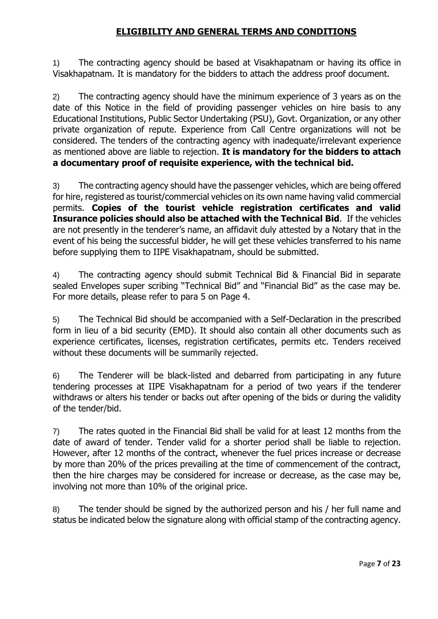### **ELIGIBILITY AND GENERAL TERMS AND CONDITIONS**

1) The contracting agency should be based at Visakhapatnam or having its office in Visakhapatnam. It is mandatory for the bidders to attach the address proof document.

2) The contracting agency should have the minimum experience of 3 years as on the date of this Notice in the field of providing passenger vehicles on hire basis to any Educational Institutions, Public Sector Undertaking (PSU), Govt. Organization, or any other private organization of repute. Experience from Call Centre organizations will not be considered. The tenders of the contracting agency with inadequate/irrelevant experience as mentioned above are liable to rejection. **It is mandatory for the bidders to attach a documentary proof of requisite experience, with the technical bid.** 

3) The contracting agency should have the passenger vehicles, which are being offered for hire, registered as tourist/commercial vehicles on its own name having valid commercial permits. **Copies of the tourist vehicle registration certificates and valid Insurance policies should also be attached with the Technical Bid**. If the vehicles are not presently in the tenderer's name, an affidavit duly attested by a Notary that in the event of his being the successful bidder, he will get these vehicles transferred to his name before supplying them to IIPE Visakhapatnam, should be submitted.

4) The contracting agency should submit Technical Bid & Financial Bid in separate sealed Envelopes super scribing "Technical Bid" and "Financial Bid" as the case may be. For more details, please refer to para 5 on Page 4.

5) The Technical Bid should be accompanied with a Self-Declaration in the prescribed form in lieu of a bid security (EMD). It should also contain all other documents such as experience certificates, licenses, registration certificates, permits etc. Tenders received without these documents will be summarily rejected.

6) The Tenderer will be black-listed and debarred from participating in any future tendering processes at IIPE Visakhapatnam for a period of two years if the tenderer withdraws or alters his tender or backs out after opening of the bids or during the validity of the tender/bid.

7) The rates quoted in the Financial Bid shall be valid for at least 12 months from the date of award of tender. Tender valid for a shorter period shall be liable to rejection. However, after 12 months of the contract, whenever the fuel prices increase or decrease by more than 20% of the prices prevailing at the time of commencement of the contract, then the hire charges may be considered for increase or decrease, as the case may be, involving not more than 10% of the original price.

8) The tender should be signed by the authorized person and his / her full name and status be indicated below the signature along with official stamp of the contracting agency.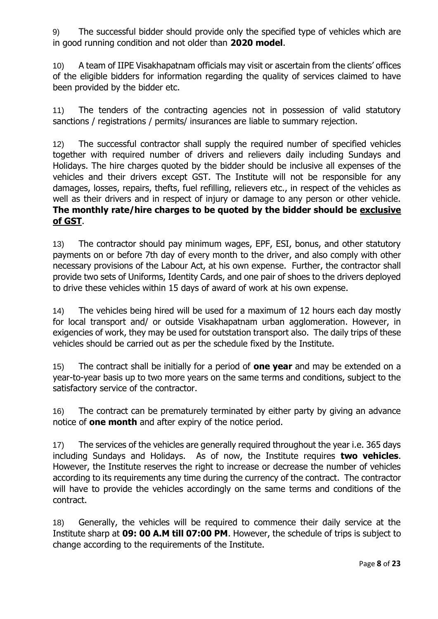9) The successful bidder should provide only the specified type of vehicles which are in good running condition and not older than **2020 model**.

10) A team of IIPE Visakhapatnam officials may visit or ascertain from the clients' offices of the eligible bidders for information regarding the quality of services claimed to have been provided by the bidder etc.

11) The tenders of the contracting agencies not in possession of valid statutory sanctions / registrations / permits/ insurances are liable to summary rejection.

12) The successful contractor shall supply the required number of specified vehicles together with required number of drivers and relievers daily including Sundays and Holidays. The hire charges quoted by the bidder should be inclusive all expenses of the vehicles and their drivers except GST. The Institute will not be responsible for any damages, losses, repairs, thefts, fuel refilling, relievers etc., in respect of the vehicles as well as their drivers and in respect of injury or damage to any person or other vehicle. **The monthly rate/hire charges to be quoted by the bidder should be exclusive of GST**.

13) The contractor should pay minimum wages, EPF, ESI, bonus, and other statutory payments on or before 7th day of every month to the driver, and also comply with other necessary provisions of the Labour Act, at his own expense. Further, the contractor shall provide two sets of Uniforms, Identity Cards, and one pair of shoes to the drivers deployed to drive these vehicles within 15 days of award of work at his own expense.

14) The vehicles being hired will be used for a maximum of 12 hours each day mostly for local transport and/ or outside Visakhapatnam urban agglomeration. However, in exigencies of work, they may be used for outstation transport also. The daily trips of these vehicles should be carried out as per the schedule fixed by the Institute.

15) The contract shall be initially for a period of **one year** and may be extended on a year-to-year basis up to two more years on the same terms and conditions, subject to the satisfactory service of the contractor.

16) The contract can be prematurely terminated by either party by giving an advance notice of **one month** and after expiry of the notice period.

17) The services of the vehicles are generally required throughout the year i.e. 365 days including Sundays and Holidays. As of now, the Institute requires **two vehicles**. However, the Institute reserves the right to increase or decrease the number of vehicles according to its requirements any time during the currency of the contract. The contractor will have to provide the vehicles accordingly on the same terms and conditions of the contract.

18) Generally, the vehicles will be required to commence their daily service at the Institute sharp at **09: 00 A.M till 07:00 PM**. However, the schedule of trips is subject to change according to the requirements of the Institute.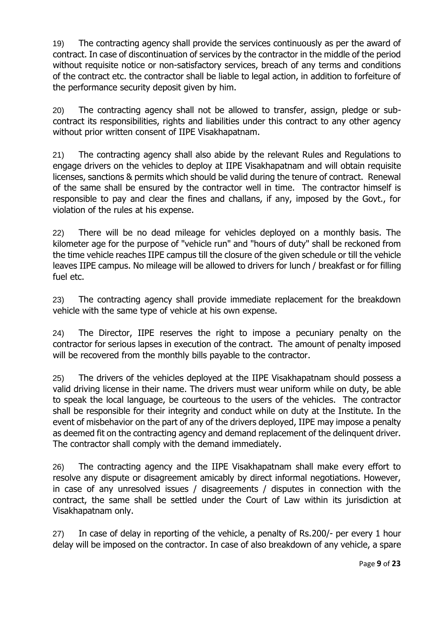19) The contracting agency shall provide the services continuously as per the award of contract. In case of discontinuation of services by the contractor in the middle of the period without requisite notice or non-satisfactory services, breach of any terms and conditions of the contract etc. the contractor shall be liable to legal action, in addition to forfeiture of the performance security deposit given by him.

20) The contracting agency shall not be allowed to transfer, assign, pledge or subcontract its responsibilities, rights and liabilities under this contract to any other agency without prior written consent of IIPE Visakhapatnam.

21) The contracting agency shall also abide by the relevant Rules and Regulations to engage drivers on the vehicles to deploy at IIPE Visakhapatnam and will obtain requisite licenses, sanctions & permits which should be valid during the tenure of contract. Renewal of the same shall be ensured by the contractor well in time. The contractor himself is responsible to pay and clear the fines and challans, if any, imposed by the Govt., for violation of the rules at his expense.

22) There will be no dead mileage for vehicles deployed on a monthly basis. The kilometer age for the purpose of "vehicle run" and "hours of duty" shall be reckoned from the time vehicle reaches IIPE campus till the closure of the given schedule or till the vehicle leaves IIPE campus. No mileage will be allowed to drivers for lunch / breakfast or for filling fuel etc.

23) The contracting agency shall provide immediate replacement for the breakdown vehicle with the same type of vehicle at his own expense.

24) The Director, IIPE reserves the right to impose a pecuniary penalty on the contractor for serious lapses in execution of the contract. The amount of penalty imposed will be recovered from the monthly bills payable to the contractor.

25) The drivers of the vehicles deployed at the IIPE Visakhapatnam should possess a valid driving license in their name. The drivers must wear uniform while on duty, be able to speak the local language, be courteous to the users of the vehicles. The contractor shall be responsible for their integrity and conduct while on duty at the Institute. In the event of misbehavior on the part of any of the drivers deployed, IIPE may impose a penalty as deemed fit on the contracting agency and demand replacement of the delinquent driver. The contractor shall comply with the demand immediately.

26) The contracting agency and the IIPE Visakhapatnam shall make every effort to resolve any dispute or disagreement amicably by direct informal negotiations. However, in case of any unresolved issues / disagreements / disputes in connection with the contract, the same shall be settled under the Court of Law within its jurisdiction at Visakhapatnam only.

27) In case of delay in reporting of the vehicle, a penalty of Rs.200/- per every 1 hour delay will be imposed on the contractor. In case of also breakdown of any vehicle, a spare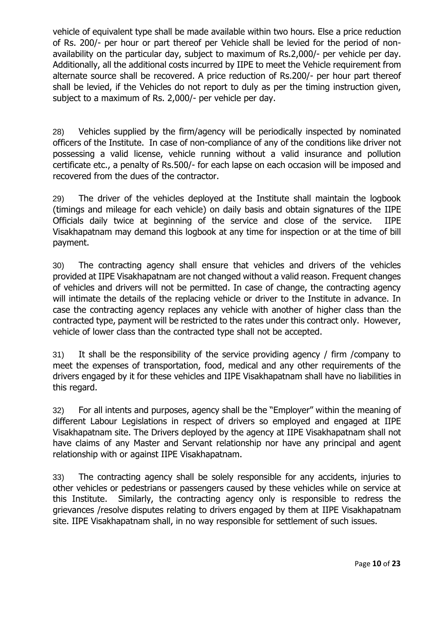vehicle of equivalent type shall be made available within two hours. Else a price reduction of Rs. 200/- per hour or part thereof per Vehicle shall be levied for the period of nonavailability on the particular day, subject to maximum of Rs.2,000/- per vehicle per day. Additionally, all the additional costs incurred by IIPE to meet the Vehicle requirement from alternate source shall be recovered. A price reduction of Rs.200/- per hour part thereof shall be levied, if the Vehicles do not report to duly as per the timing instruction given, subject to a maximum of Rs. 2,000/- per vehicle per day.

28) Vehicles supplied by the firm/agency will be periodically inspected by nominated officers of the Institute. In case of non-compliance of any of the conditions like driver not possessing a valid license, vehicle running without a valid insurance and pollution certificate etc., a penalty of Rs.500/- for each lapse on each occasion will be imposed and recovered from the dues of the contractor.

29) The driver of the vehicles deployed at the Institute shall maintain the logbook (timings and mileage for each vehicle) on daily basis and obtain signatures of the IIPE Officials daily twice at beginning of the service and close of the service. IIPE Visakhapatnam may demand this logbook at any time for inspection or at the time of bill payment.

30) The contracting agency shall ensure that vehicles and drivers of the vehicles provided at IIPE Visakhapatnam are not changed without a valid reason. Frequent changes of vehicles and drivers will not be permitted. In case of change, the contracting agency will intimate the details of the replacing vehicle or driver to the Institute in advance. In case the contracting agency replaces any vehicle with another of higher class than the contracted type, payment will be restricted to the rates under this contract only. However, vehicle of lower class than the contracted type shall not be accepted.

31) It shall be the responsibility of the service providing agency / firm /company to meet the expenses of transportation, food, medical and any other requirements of the drivers engaged by it for these vehicles and IIPE Visakhapatnam shall have no liabilities in this regard.

32) For all intents and purposes, agency shall be the "Employer" within the meaning of different Labour Legislations in respect of drivers so employed and engaged at IIPE Visakhapatnam site. The Drivers deployed by the agency at IIPE Visakhapatnam shall not have claims of any Master and Servant relationship nor have any principal and agent relationship with or against IIPE Visakhapatnam.

33) The contracting agency shall be solely responsible for any accidents, injuries to other vehicles or pedestrians or passengers caused by these vehicles while on service at this Institute. Similarly, the contracting agency only is responsible to redress the grievances /resolve disputes relating to drivers engaged by them at IIPE Visakhapatnam site. IIPE Visakhapatnam shall, in no way responsible for settlement of such issues.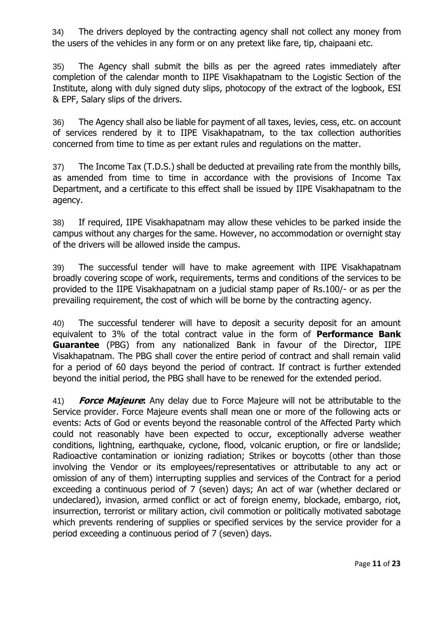34) The drivers deployed by the contracting agency shall not collect any money from the users of the vehicles in any form or on any pretext like fare, tip, chaipaani etc.

35) The Agency shall submit the bills as per the agreed rates immediately after completion of the calendar month to IIPE Visakhapatnam to the Logistic Section of the Institute, along with duly signed duty slips, photocopy of the extract of the logbook, ESI & EPF, Salary slips of the drivers.

36) The Agency shall also be liable for payment of all taxes, levies, cess, etc. on account of services rendered by it to IIPE Visakhapatnam, to the tax collection authorities concerned from time to time as per extant rules and regulations on the matter.

37) The Income Tax (T.D.S.) shall be deducted at prevailing rate from the monthly bills, as amended from time to time in accordance with the provisions of Income Tax Department, and a certificate to this effect shall be issued by IIPE Visakhapatnam to the agency.

38) If required, IIPE Visakhapatnam may allow these vehicles to be parked inside the campus without any charges for the same. However, no accommodation or overnight stay of the drivers will be allowed inside the campus.

39) The successful tender will have to make agreement with IIPE Visakhapatnam broadly covering scope of work, requirements, terms and conditions of the services to be provided to the IIPE Visakhapatnam on a judicial stamp paper of Rs.100/- or as per the prevailing requirement, the cost of which will be borne by the contracting agency.

40) The successful tenderer will have to deposit a security deposit for an amount equivalent to 3% of the total contract value in the form of **Performance Bank Guarantee** (PBG) from any nationalized Bank in favour of the Director, IIPE Visakhapatnam. The PBG shall cover the entire period of contract and shall remain valid for a period of 60 days beyond the period of contract. If contract is further extended beyond the initial period, the PBG shall have to be renewed for the extended period.

41) **Force Majeure:** Any delay due to Force Majeure will not be attributable to the Service provider. Force Majeure events shall mean one or more of the following acts or events: Acts of God or events beyond the reasonable control of the Affected Party which could not reasonably have been expected to occur, exceptionally adverse weather conditions, lightning, earthquake, cyclone, flood, volcanic eruption, or fire or landslide; Radioactive contamination or ionizing radiation; Strikes or boycotts (other than those involving the Vendor or its employees/representatives or attributable to any act or omission of any of them) interrupting supplies and services of the Contract for a period exceeding a continuous period of 7 (seven) days; An act of war (whether declared or undeclared), invasion, armed conflict or act of foreign enemy, blockade, embargo, riot, insurrection, terrorist or military action, civil commotion or politically motivated sabotage which prevents rendering of supplies or specified services by the service provider for a period exceeding a continuous period of 7 (seven) days.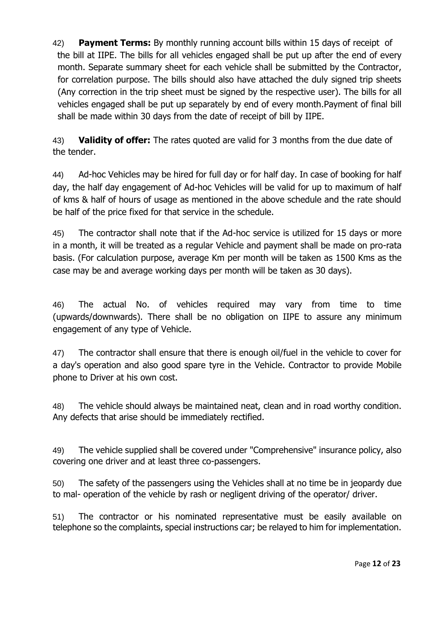42) **Payment Terms:** By monthly running account bills within 15 days of receipt of the bill at IIPE. The bills for all vehicles engaged shall be put up after the end of every month. Separate summary sheet for each vehicle shall be submitted by the Contractor, for correlation purpose. The bills should also have attached the duly signed trip sheets (Any correction in the trip sheet must be signed by the respective user). The bills for all vehicles engaged shall be put up separately by end of every month.Payment of final bill shall be made within 30 days from the date of receipt of bill by IIPE.

43) **Validity of offer:** The rates quoted are valid for 3 months from the due date of the tender.

44) Ad-hoc Vehicles may be hired for full day or for half day. In case of booking for half day, the half day engagement of Ad-hoc Vehicles will be valid for up to maximum of half of kms & half of hours of usage as mentioned in the above schedule and the rate should be half of the price fixed for that service in the schedule.

45) The contractor shall note that if the Ad-hoc service is utilized for 15 days or more in a month, it will be treated as a regular Vehicle and payment shall be made on pro-rata basis. (For calculation purpose, average Km per month will be taken as 1500 Kms as the case may be and average working days per month will be taken as 30 days).

46) The actual No. of vehicles required may vary from time to time (upwards/downwards). There shall be no obligation on IIPE to assure any minimum engagement of any type of Vehicle.

47) The contractor shall ensure that there is enough oil/fuel in the vehicle to cover for a day's operation and also good spare tyre in the Vehicle. Contractor to provide Mobile phone to Driver at his own cost.

48) The vehicle should always be maintained neat, clean and in road worthy condition. Any defects that arise should be immediately rectified.

49) The vehicle supplied shall be covered under "Comprehensive" insurance policy, also covering one driver and at least three co-passengers.

50) The safety of the passengers using the Vehicles shall at no time be in jeopardy due to mal- operation of the vehicle by rash or negligent driving of the operator/ driver.

51) The contractor or his nominated representative must be easily available on telephone so the complaints, special instructions car; be relayed to him for implementation.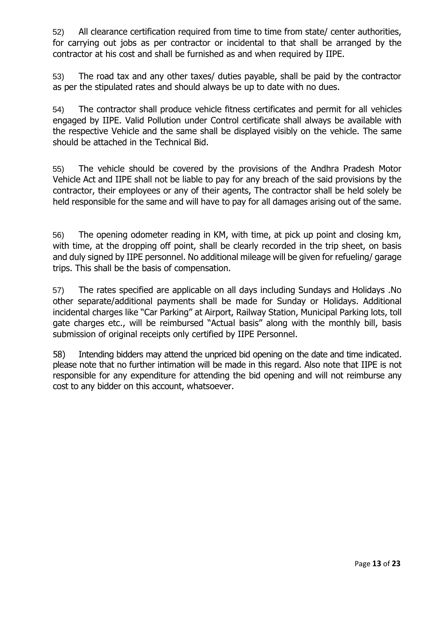52) All clearance certification required from time to time from state/ center authorities, for carrying out jobs as per contractor or incidental to that shall be arranged by the contractor at his cost and shall be furnished as and when required by IIPE.

53) The road tax and any other taxes/ duties payable, shall be paid by the contractor as per the stipulated rates and should always be up to date with no dues.

54) The contractor shall produce vehicle fitness certificates and permit for all vehicles engaged by IIPE. Valid Pollution under Control certificate shall always be available with the respective Vehicle and the same shall be displayed visibly on the vehicle. The same should be attached in the Technical Bid.

55) The vehicle should be covered by the provisions of the Andhra Pradesh Motor Vehicle Act and IIPE shall not be liable to pay for any breach of the said provisions by the contractor, their employees or any of their agents, The contractor shall be held solely be held responsible for the same and will have to pay for all damages arising out of the same.

56) The opening odometer reading in KM, with time, at pick up point and closing km, with time, at the dropping off point, shall be clearly recorded in the trip sheet, on basis and duly signed by IIPE personnel. No additional mileage will be given for refueling/ garage trips. This shall be the basis of compensation.

57) The rates specified are applicable on all days including Sundays and Holidays .No other separate/additional payments shall be made for Sunday or Holidays. Additional incidental charges like "Car Parking" at Airport, Railway Station, Municipal Parking lots, toll gate charges etc., will be reimbursed "Actual basis" along with the monthly bill, basis submission of original receipts only certified by IIPE Personnel.

58) Intending bidders may attend the unpriced bid opening on the date and time indicated. please note that no further intimation will be made in this regard. Also note that IIPE is not responsible for any expenditure for attending the bid opening and will not reimburse any cost to any bidder on this account, whatsoever.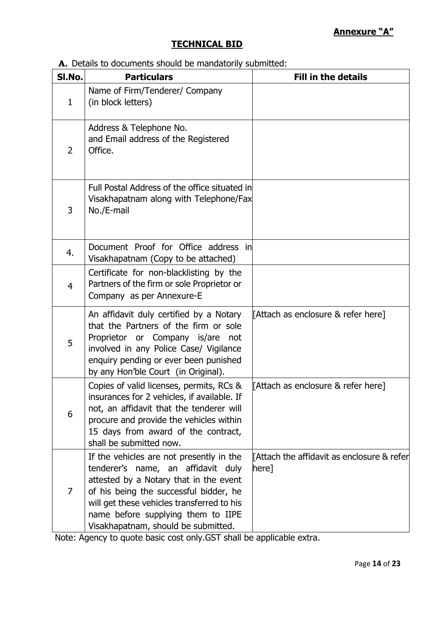## **TECHNICAL BID**

**A.** Details to documents should be mandatorily submitted:

| SI.No.         | <b>Particulars</b>                                                                                                                                                                                                                                                                            | <b>Fill in the details</b>                           |
|----------------|-----------------------------------------------------------------------------------------------------------------------------------------------------------------------------------------------------------------------------------------------------------------------------------------------|------------------------------------------------------|
| $\mathbf{1}$   | Name of Firm/Tenderer/ Company<br>(in block letters)                                                                                                                                                                                                                                          |                                                      |
| $\overline{2}$ | Address & Telephone No.<br>and Email address of the Registered<br>Office.                                                                                                                                                                                                                     |                                                      |
| 3              | Full Postal Address of the office situated in<br>Visakhapatnam along with Telephone/Fax<br>No./E-mail                                                                                                                                                                                         |                                                      |
| 4.             | Document Proof for Office address in<br>Visakhapatnam (Copy to be attached)                                                                                                                                                                                                                   |                                                      |
| $\overline{4}$ | Certificate for non-blacklisting by the<br>Partners of the firm or sole Proprietor or<br>Company as per Annexure-E                                                                                                                                                                            |                                                      |
| 5              | An affidavit duly certified by a Notary<br>that the Partners of the firm or sole<br>Proprietor or Company is/are not<br>involved in any Police Case/ Vigilance<br>enquiry pending or ever been punished<br>by any Hon'ble Court (in Original).                                                | [Attach as enclosure & refer here]                   |
| 6              | Copies of valid licenses, permits, RCs &<br>insurances for 2 vehicles, if available. If<br>not, an affidavit that the tenderer will<br>procure and provide the vehicles within<br>15 days from award of the contract,<br>shall be submitted now.                                              | [Attach as enclosure & refer here]                   |
| 7              | If the vehicles are not presently in the<br>tenderer's name, an affidavit duly<br>attested by a Notary that in the event<br>of his being the successful bidder, he<br>will get these vehicles transferred to his<br>name before supplying them to IIPE<br>Visakhapatnam, should be submitted. | [Attach the affidavit as enclosure & refer]<br>here] |

Note: Agency to quote basic cost only.GST shall be applicable extra.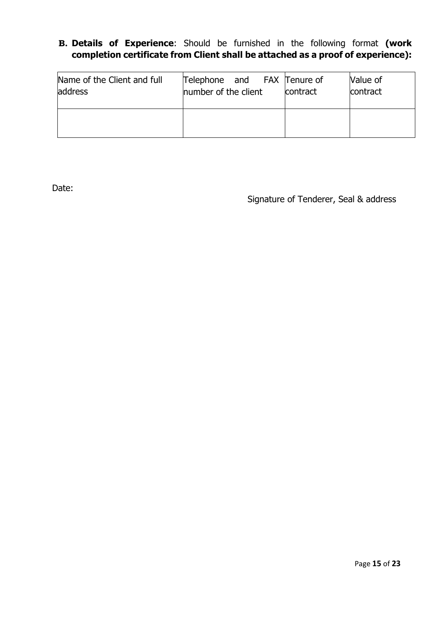## **B. Details of Experience**: Should be furnished in the following format **(work completion certificate from Client shall be attached as a proof of experience):**

| Name of the Client and full | Telephone and FAX Tenure of | contract | Value of |
|-----------------------------|-----------------------------|----------|----------|
| address                     | number of the client        |          | contract |
|                             |                             |          |          |

Date:

Signature of Tenderer, Seal & address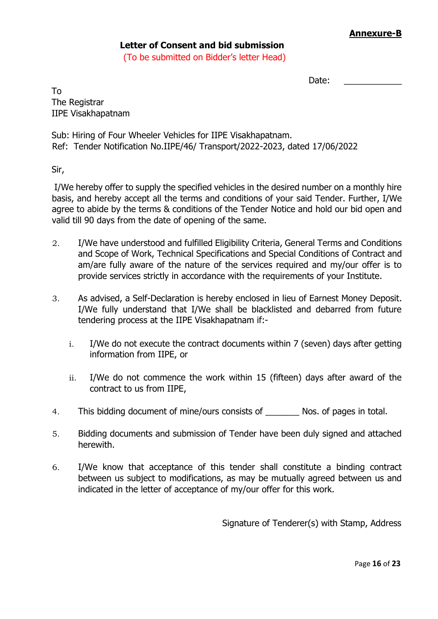#### **Annexure-B**

## **Letter of Consent and bid submission**

(To be submitted on Bidder's letter Head)

Date:

To The Registrar IIPE Visakhapatnam

Sub: Hiring of Four Wheeler Vehicles for IIPE Visakhapatnam. Ref: Tender Notification No.IIPE/46/ Transport/2022-2023, dated 17/06/2022

Sir,

I/We hereby offer to supply the specified vehicles in the desired number on a monthly hire basis, and hereby accept all the terms and conditions of your said Tender. Further, I/We agree to abide by the terms & conditions of the Tender Notice and hold our bid open and valid till 90 days from the date of opening of the same.

- 2. I/We have understood and fulfilled Eligibility Criteria, General Terms and Conditions and Scope of Work, Technical Specifications and Special Conditions of Contract and am/are fully aware of the nature of the services required and my/our offer is to provide services strictly in accordance with the requirements of your Institute.
- 3. As advised, a Self-Declaration is hereby enclosed in lieu of Earnest Money Deposit. I/We fully understand that I/We shall be blacklisted and debarred from future tendering process at the IIPE Visakhapatnam if:
	- i. I/We do not execute the contract documents within 7 (seven) days after getting information from IIPE, or
	- ii. I/We do not commence the work within 15 (fifteen) days after award of the contract to us from IIPE,
- 4. This bidding document of mine/ours consists of **Nos.** Of pages in total.
- 5. Bidding documents and submission of Tender have been duly signed and attached herewith.
- 6. I/We know that acceptance of this tender shall constitute a binding contract between us subject to modifications, as may be mutually agreed between us and indicated in the letter of acceptance of my/our offer for this work.

Signature of Tenderer(s) with Stamp, Address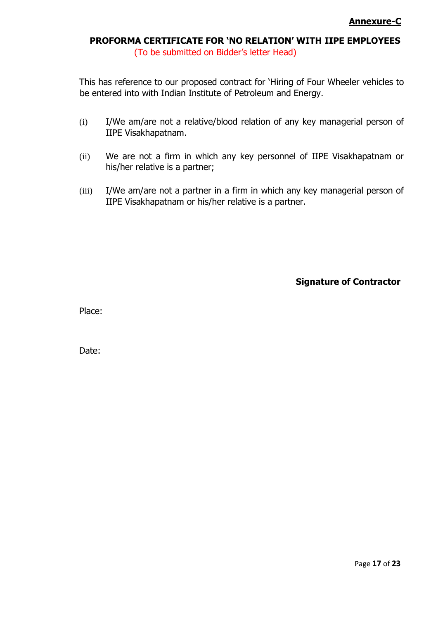### **PROFORMA CERTIFICATE FOR 'NO RELATION' WITH IIPE EMPLOYEES**  (To be submitted on Bidder's letter Head)

This has reference to our proposed contract for 'Hiring of Four Wheeler vehicles to be entered into with Indian Institute of Petroleum and Energy.

- (i) I/We am/are not a relative/blood relation of any key managerial person of IIPE Visakhapatnam.
- (ii) We are not a firm in which any key personnel of IIPE Visakhapatnam or his/her relative is a partner;
- (iii) I/We am/are not a partner in a firm in which any key managerial person of IIPE Visakhapatnam or his/her relative is a partner.

**Signature of Contractor** 

Place:

Date: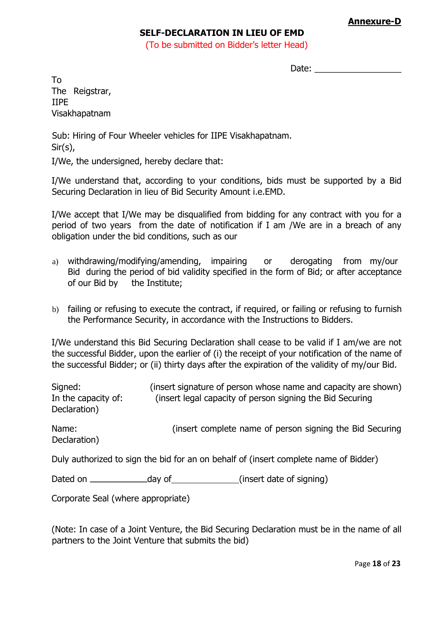**Annexure-D**

#### **SELF-DECLARATION IN LIEU OF EMD**

(To be submitted on Bidder's letter Head)

Date:

To The Reigstrar, IIPE Visakhapatnam

Sub: Hiring of Four Wheeler vehicles for IIPE Visakhapatnam. Sir(s),

I/We, the undersigned, hereby declare that:

I/We understand that, according to your conditions, bids must be supported by a Bid Securing Declaration in lieu of Bid Security Amount i.e.EMD.

I/We accept that I/We may be disqualified from bidding for any contract with you for a period of two years from the date of notification if I am /We are in a breach of any obligation under the bid conditions, such as our

- a) withdrawing/modifying/amending, impairing or derogating from my/our Bid during the period of bid validity specified in the form of Bid; or after acceptance of our Bid by the Institute;
- b) failing or refusing to execute the contract, if required, or failing or refusing to furnish the Performance Security, in accordance with the Instructions to Bidders.

I/We understand this Bid Securing Declaration shall cease to be valid if I am/we are not the successful Bidder, upon the earlier of (i) the receipt of your notification of the name of the successful Bidder; or (ii) thirty days after the expiration of the validity of my/our Bid.

| Signed:<br>In the capacity of:<br>Declaration) | (insert signature of person whose name and capacity are shown)<br>(insert legal capacity of person signing the Bid Securing |
|------------------------------------------------|-----------------------------------------------------------------------------------------------------------------------------|
| Name:<br>Declaration)                          | (insert complete name of person signing the Bid Securing                                                                    |

Duly authorized to sign the bid for an on behalf of (insert complete name of Bidder)

Dated on \_\_\_\_\_\_\_\_\_\_\_\_\_\_\_\_\_\_\_\_\_day of (insert date of signing)

Corporate Seal (where appropriate)

(Note: In case of a Joint Venture, the Bid Securing Declaration must be in the name of all partners to the Joint Venture that submits the bid)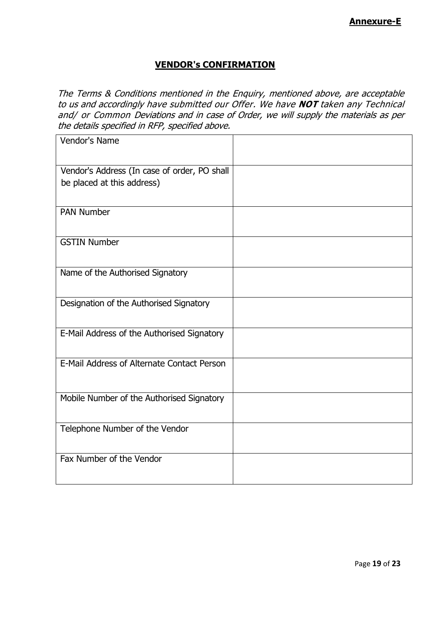#### **Annexure-E**

#### **VENDOR's CONFIRMATION**

The Terms & Conditions mentioned in the Enquiry, mentioned above, are acceptable to us and accordingly have submitted our Offer. We have **NOT** taken any Technical and/ or Common Deviations and in case of Order, we will supply the materials as per the details specified in RFP, specified above.

| Vendor's Name                                                              |  |
|----------------------------------------------------------------------------|--|
| Vendor's Address (In case of order, PO shall<br>be placed at this address) |  |
| <b>PAN Number</b>                                                          |  |
| <b>GSTIN Number</b>                                                        |  |
| Name of the Authorised Signatory                                           |  |
| Designation of the Authorised Signatory                                    |  |
| E-Mail Address of the Authorised Signatory                                 |  |
| E-Mail Address of Alternate Contact Person                                 |  |
| Mobile Number of the Authorised Signatory                                  |  |
| Telephone Number of the Vendor                                             |  |
| Fax Number of the Vendor                                                   |  |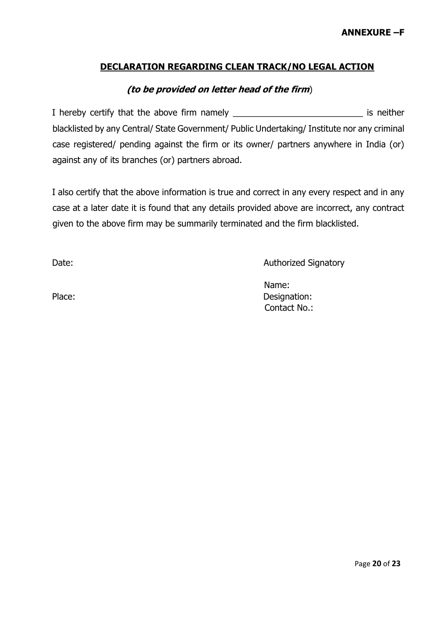### **DECLARATION REGARDING CLEAN TRACK/NO LEGAL ACTION**

### **(to be provided on letter head of the firm**)

I hereby certify that the above firm namely **EXALL EXALL EXALL EXAMPLE 1** is neither blacklisted by any Central/ State Government/ Public Undertaking/ Institute nor any criminal case registered/ pending against the firm or its owner/ partners anywhere in India (or) against any of its branches (or) partners abroad.

I also certify that the above information is true and correct in any every respect and in any case at a later date it is found that any details provided above are incorrect, any contract given to the above firm may be summarily terminated and the firm blacklisted.

Date: **Authorized Signatory** 

 Name: Place: Designation: Contact No.: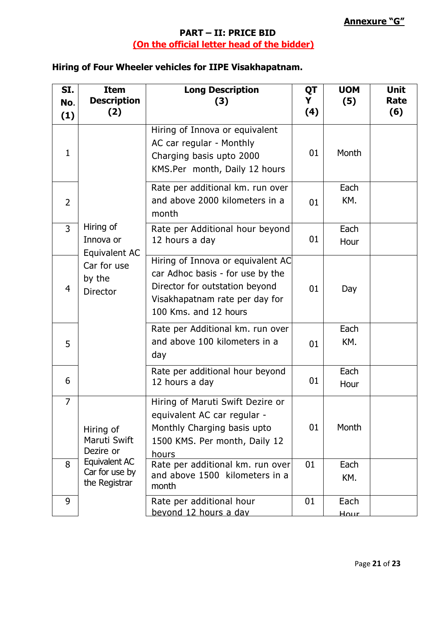**Annexure "G"** 

## **PART – II: PRICE BID (On the official letter head of the bidder)**

# **Hiring of Four Wheeler vehicles for IIPE Visakhapatnam.**

| SI.            | <b>Item</b>                                        | <b>Long Description</b>                                                                                                                                            | QT  | <b>UOM</b>   | <b>Unit</b> |
|----------------|----------------------------------------------------|--------------------------------------------------------------------------------------------------------------------------------------------------------------------|-----|--------------|-------------|
| No.            | <b>Description</b>                                 | (3)                                                                                                                                                                | Y   | (5)          | Rate        |
| (1)            | (2)                                                |                                                                                                                                                                    | (4) |              | (6)         |
| $\mathbf{1}$   |                                                    | Hiring of Innova or equivalent<br>AC car regular - Monthly<br>Charging basis upto 2000<br>KMS.Per month, Daily 12 hours                                            | 01  | Month        |             |
| $\overline{2}$ |                                                    | Rate per additional km. run over<br>and above 2000 kilometers in a<br>month                                                                                        | 01  | Each<br>KM.  |             |
| $\overline{3}$ | Hiring of<br>Innova or                             | Rate per Additional hour beyond<br>12 hours a day                                                                                                                  | 01  | Each<br>Hour |             |
| $\overline{4}$ | Equivalent AC<br>Car for use<br>by the<br>Director | Hiring of Innova or equivalent AC<br>car Adhoc basis - for use by the<br>Director for outstation beyond<br>Visakhapatnam rate per day for<br>100 Kms. and 12 hours | 01  | Day          |             |
| 5              |                                                    | Rate per Additional km. run over<br>and above 100 kilometers in a<br>day                                                                                           | 01  | Each<br>KM.  |             |
| 6              |                                                    | Rate per additional hour beyond<br>12 hours a day                                                                                                                  | 01  | Each<br>Hour |             |
| $\overline{7}$ | Hiring of<br>Maruti Swift<br>Dezire or             | Hiring of Maruti Swift Dezire or<br>equivalent AC car regular -<br>Monthly Charging basis upto<br>1500 KMS. Per month, Daily 12<br>hours                           | 01  | Month        |             |
| 8              | Equivalent AC<br>Car for use by<br>the Registrar   | Rate per additional km. run over<br>and above 1500 kilometers in a<br>month                                                                                        | 01  | Each<br>KM.  |             |
| 9              |                                                    | Rate per additional hour<br>bevond 12 hours a dav                                                                                                                  | 01  | Each<br>Hour |             |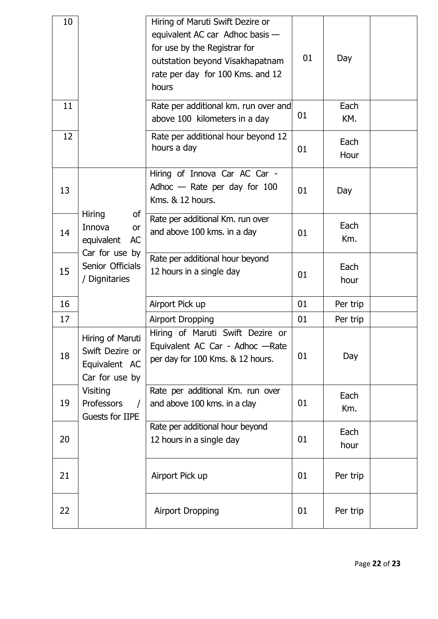| 10 |                                                                        | Hiring of Maruti Swift Dezire or<br>equivalent AC car Adhoc basis -<br>for use by the Registrar for<br>outstation beyond Visakhapatnam<br>rate per day for 100 Kms. and 12<br>hours | 01 | Day          |  |
|----|------------------------------------------------------------------------|-------------------------------------------------------------------------------------------------------------------------------------------------------------------------------------|----|--------------|--|
| 11 |                                                                        | Rate per additional km. run over and<br>above 100 kilometers in a day                                                                                                               | 01 | Each<br>KM.  |  |
| 12 |                                                                        | Rate per additional hour beyond 12<br>hours a day                                                                                                                                   | 01 | Each<br>Hour |  |
| 13 |                                                                        | Hiring of Innova Car AC Car -<br>Adhoc $-$ Rate per day for 100<br>Kms. & 12 hours.                                                                                                 | 01 | Day          |  |
| 14 | <b>Hiring</b><br>of<br>Innova<br>or<br>equivalent<br>AC                | Rate per additional Km. run over<br>and above 100 kms. in a day                                                                                                                     | 01 | Each<br>Km.  |  |
| 15 | Car for use by<br>Senior Officials<br>/ Dignitaries                    | Rate per additional hour beyond<br>12 hours in a single day                                                                                                                         | 01 | Each<br>hour |  |
| 16 |                                                                        | Airport Pick up                                                                                                                                                                     | 01 | Per trip     |  |
| 17 |                                                                        | Airport Dropping                                                                                                                                                                    | 01 | Per trip     |  |
| 18 | Hiring of Maruti<br>Swift Dezire or<br>Equivalent AC<br>Car for use by | Hiring of Maruti Swift Dezire or<br>Equivalent AC Car - Adhoc - Rate<br>per day for 100 Kms. & 12 hours.                                                                            | 01 | Day          |  |
| 19 | <b>Visiting</b><br>Professors<br>Guests for IIPE                       | Rate per additional Km. run over<br>and above 100 kms. in a clay                                                                                                                    | 01 | Each<br>Km.  |  |
| 20 |                                                                        | Rate per additional hour beyond<br>12 hours in a single day                                                                                                                         | 01 | Each<br>hour |  |
| 21 |                                                                        | Airport Pick up                                                                                                                                                                     | 01 | Per trip     |  |
| 22 |                                                                        | <b>Airport Dropping</b>                                                                                                                                                             | 01 | Per trip     |  |